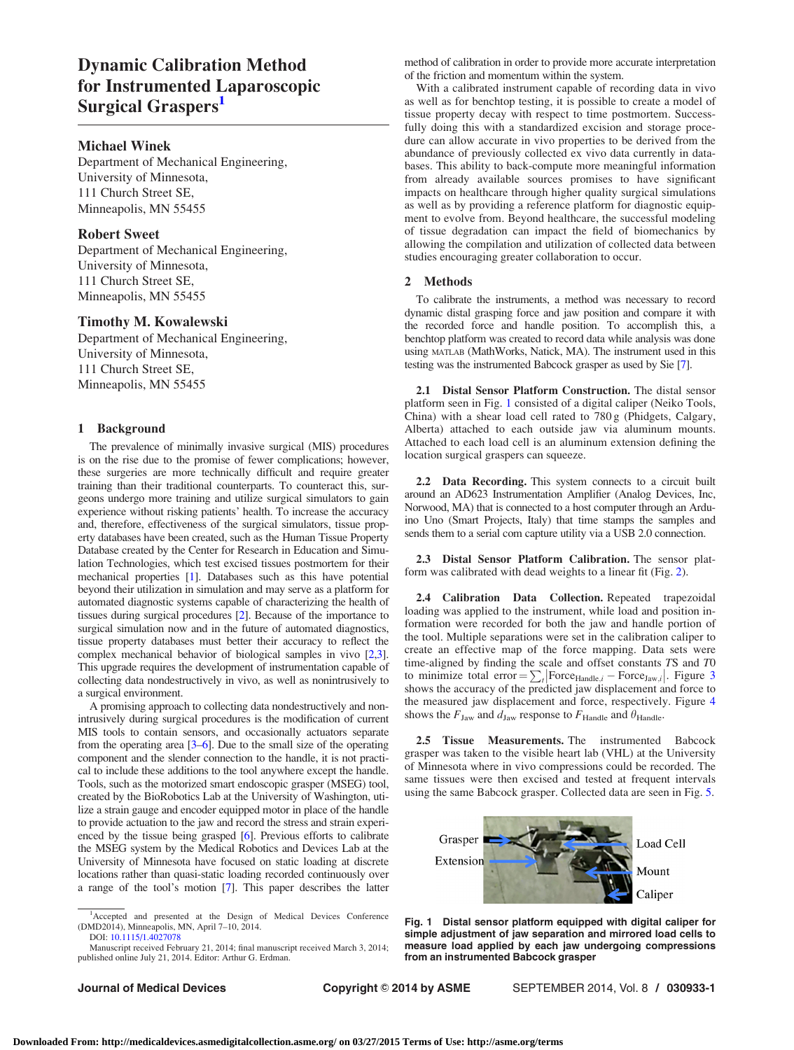# Dynamic Calibration Method for Instrumented Laparoscopic Surgical Graspers<sup>1</sup>

## Michael Winek

Department of Mechanical Engineering, University of Minnesota, 111 Church Street SE, Minneapolis, MN 55455

# Robert Sweet

Department of Mechanical Engineering, University of Minnesota, 111 Church Street SE, Minneapolis, MN 55455

## Timothy M. Kowalewski

Department of Mechanical Engineering, University of Minnesota, 111 Church Street SE, Minneapolis, MN 55455

### 1 Background

The prevalence of minimally invasive surgical (MIS) procedures is on the rise due to the promise of fewer complications; however, these surgeries are more technically difficult and require greater training than their traditional counterparts. To counteract this, surgeons undergo more training and utilize surgical simulators to gain experience without risking patients' health. To increase the accuracy and, therefore, effectiveness of the surgical simulators, tissue property databases have been created, such as the Human Tissue Property Database created by the Center for Research in Education and Simulation Technologies, which test excised tissues postmortem for their mechanical properties [\[1](#page-1-0)]. Databases such as this have potential beyond their utilization in simulation and may serve as a platform for automated diagnostic systems capable of characterizing the health of tissues during surgical procedures [\[2\]](#page-1-0). Because of the importance to surgical simulation now and in the future of automated diagnostics, tissue property databases must better their accuracy to reflect the complex mechanical behavior of biological samples in vivo [\[2,3\]](#page-1-0). This upgrade requires the development of instrumentation capable of collecting data nondestructively in vivo, as well as nonintrusively to a surgical environment.

A promising approach to collecting data nondestructively and nonintrusively during surgical procedures is the modification of current MIS tools to contain sensors, and occasionally actuators separate from the operating area [\[3–6](#page-1-0)]. Due to the small size of the operating component and the slender connection to the handle, it is not practical to include these additions to the tool anywhere except the handle. Tools, such as the motorized smart endoscopic grasper (MSEG) tool, created by the BioRobotics Lab at the University of Washington, utilize a strain gauge and encoder equipped motor in place of the handle to provide actuation to the jaw and record the stress and strain experienced by the tissue being grasped [\[6\]](#page-1-0). Previous efforts to calibrate the MSEG system by the Medical Robotics and Devices Lab at the University of Minnesota have focused on static loading at discrete locations rather than quasi-static loading recorded continuously over a range of the tool's motion [\[7](#page-1-0)]. This paper describes the latter

Manuscript received February 21, 2014; final manuscript received March 3, 2014; published online July 21, 2014. Editor: Arthur G. Erdman.

method of calibration in order to provide more accurate interpretation of the friction and momentum within the system.

With a calibrated instrument capable of recording data in vivo as well as for benchtop testing, it is possible to create a model of tissue property decay with respect to time postmortem. Successfully doing this with a standardized excision and storage procedure can allow accurate in vivo properties to be derived from the abundance of previously collected ex vivo data currently in databases. This ability to back-compute more meaningful information from already available sources promises to have significant impacts on healthcare through higher quality surgical simulations as well as by providing a reference platform for diagnostic equipment to evolve from. Beyond healthcare, the successful modeling of tissue degradation can impact the field of biomechanics by allowing the compilation and utilization of collected data between studies encouraging greater collaboration to occur.

#### 2 Methods

To calibrate the instruments, a method was necessary to record dynamic distal grasping force and jaw position and compare it with the recorded force and handle position. To accomplish this, a benchtop platform was created to record data while analysis was done using MATLAB (MathWorks, Natick, MA). The instrument used in this testing was the instrumented Babcock grasper as used by Sie [\[7](#page-1-0)].

2.1 Distal Sensor Platform Construction. The distal sensor platform seen in Fig. 1 consisted of a digital caliper (Neiko Tools, China) with a shear load cell rated to 780 g (Phidgets, Calgary, Alberta) attached to each outside jaw via aluminum mounts. Attached to each load cell is an aluminum extension defining the location surgical graspers can squeeze.

2.2 Data Recording. This system connects to a circuit built around an AD623 Instrumentation Amplifier (Analog Devices, Inc, Norwood, MA) that is connected to a host computer through an Arduino Uno (Smart Projects, Italy) that time stamps the samples and sends them to a serial com capture utility via a USB 2.0 connection.

2.3 Distal Sensor Platform Calibration. The sensor platform was calibrated with dead weights to a linear fit (Fig. [2\)](#page-1-0).

2.4 Calibration Data Collection. Repeated trapezoidal loading was applied to the instrument, while load and position information were recorded for both the jaw and handle portion of the tool. Multiple separations were set in the calibration caliper to create an effective map of the force mapping. Data sets were time-aligned by finding the scale and offset constants TS and T0 to minimize total error  $=\sum_{t}$  Force<sub>Handle,*i*</sub> – Force<sub>Jaw,*i*</sub> | Figure [3](#page-1-0) shows the accuracy of the predicted jaw displacement and force to the measured jaw displacement and force, respectively. Figure [4](#page-1-0) shows the  $F_{\text{Jaw}}$  and  $d_{\text{Jaw}}$  response to  $F_{\text{Handle}}$  and  $\theta_{\text{Handle}}$ .

2.5 Tissue Measurements. The instrumented Babcock grasper was taken to the visible heart lab (VHL) at the University of Minnesota where in vivo compressions could be recorded. The same tissues were then excised and tested at frequent intervals using the same Babcock grasper. Collected data are seen in Fig. [5.](#page-1-0)



Fig. 1 Distal sensor platform equipped with digital caliper for simple adjustment of jaw separation and mirrored load cells to measure load applied by each jaw undergoing compressions

from an instrumented Babcock grasper

<sup>1</sup> Accepted and presented at the Design of Medical Devices Conference (DMD2014), Minneapolis, MN, April 7–10, 2014. DOI: [10.1115/1.4027078](http://dx.doi.org/10.1115/1.4027078)